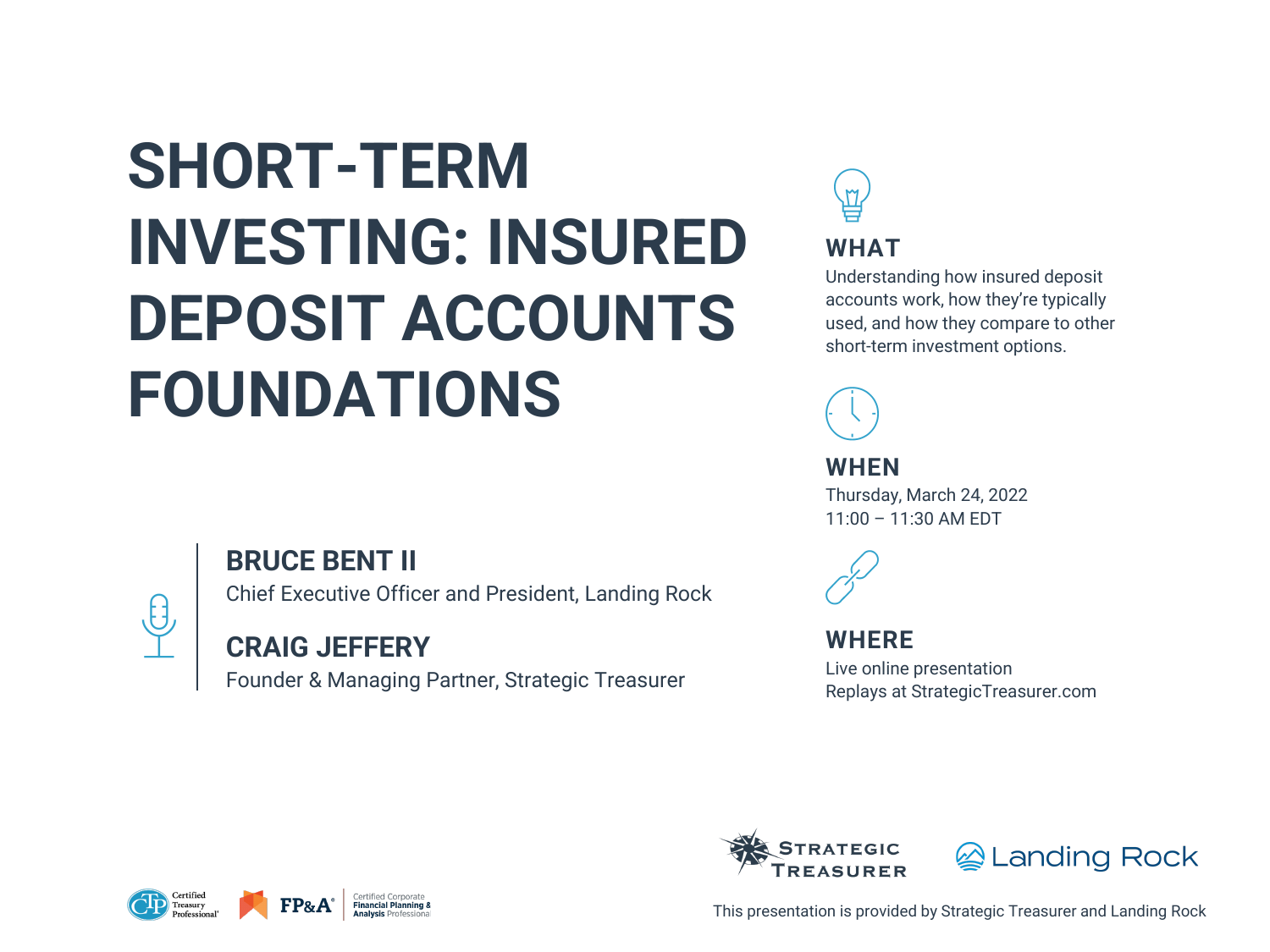# **SHORT-TERM INVESTING: INSURED DEPOSIT ACCOUNTS FOUNDATIONS**



## **BRUCE BENT II**

Chief Executive Officer and President, Landing Rock

## **CRAIG JEFFERY**

Founder & Managing Partner, Strategic Treasurer











This presentation is provided by Strategic Treasurer and Landing Rock

**WHAT**

Understanding how insured deposit accounts work, how they're typically used, and how they compare to other short-term investment options.



**WHEN**

Thursday, March 24, 2022 11:00 – 11:30 AM EDT



### **WHERE**

Live online presentation Replays at StrategicTreasurer.com

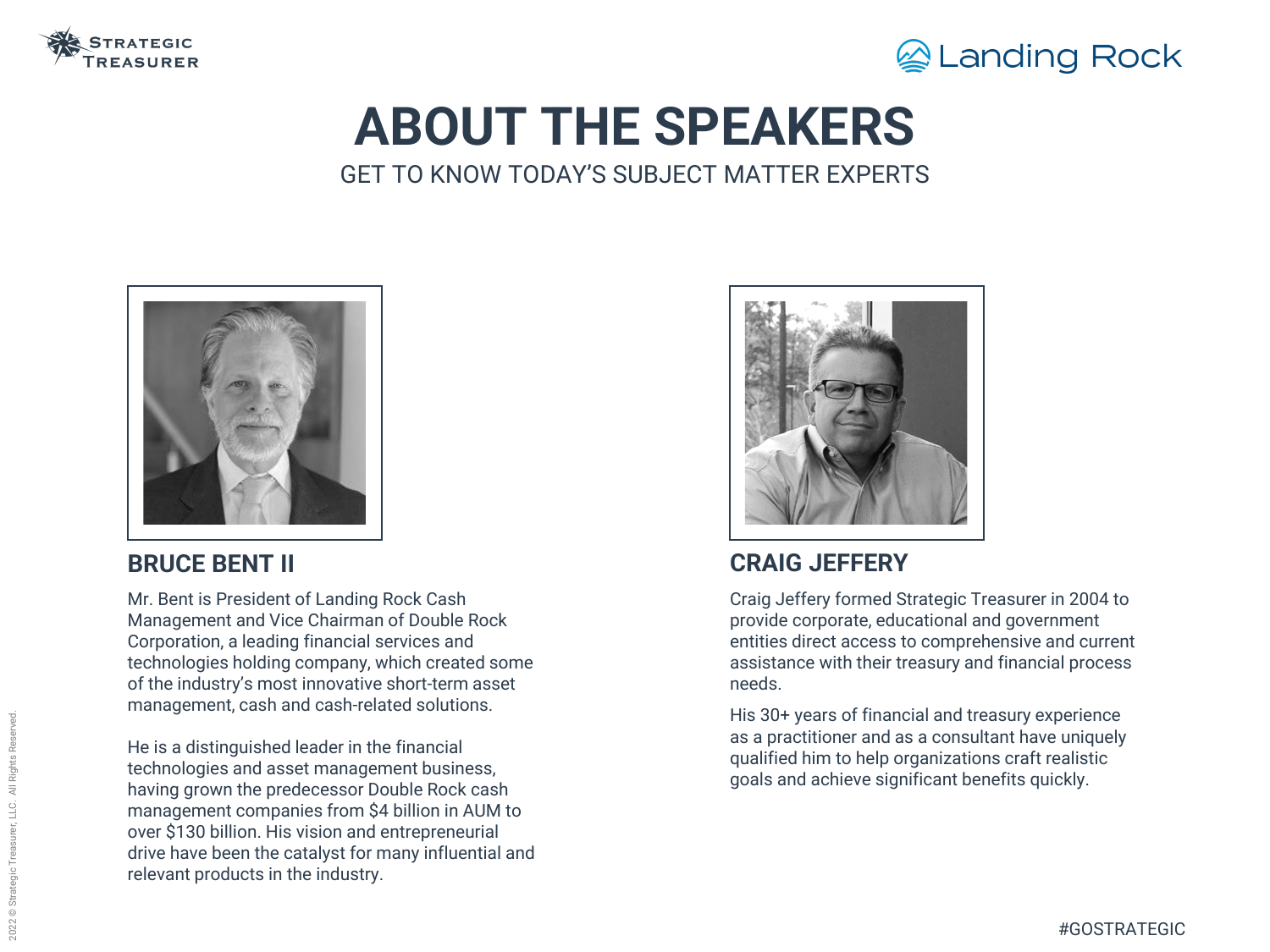

# **ABOUT THE SPEAKERS** GET TO KNOW TODAY'S SUBJECT MATTER EXPERTS

### **CRAIG JEFFERY**

Craig Jeffery formed Strategic Treasurer in 2004 to provide corporate, educational and government entities direct access to comprehensive and current assistance with their treasury and financial process needs.

His 30+ years of financial and treasury experience as a practitioner and as a consultant have uniquely qualified him to help organizations craft realistic goals and achieve significant benefits quickly.



### **BRUCE BENT II**

Mr. Bent is President of Landing Rock Cash Management and Vice Chairman of Double Rock Corporation, a leading financial services and technologies holding company, which created some of the industry's most innovative short-term asset management, cash and cash-related solutions.

He is a distinguished leader in the financial technologies and asset management business, having grown the predecessor Double Rock cash management companies from \$4 billion in AUM to over \$130 billion. His vision and entrepreneurial drive have been the catalyst for many influential and relevant products in the industry.



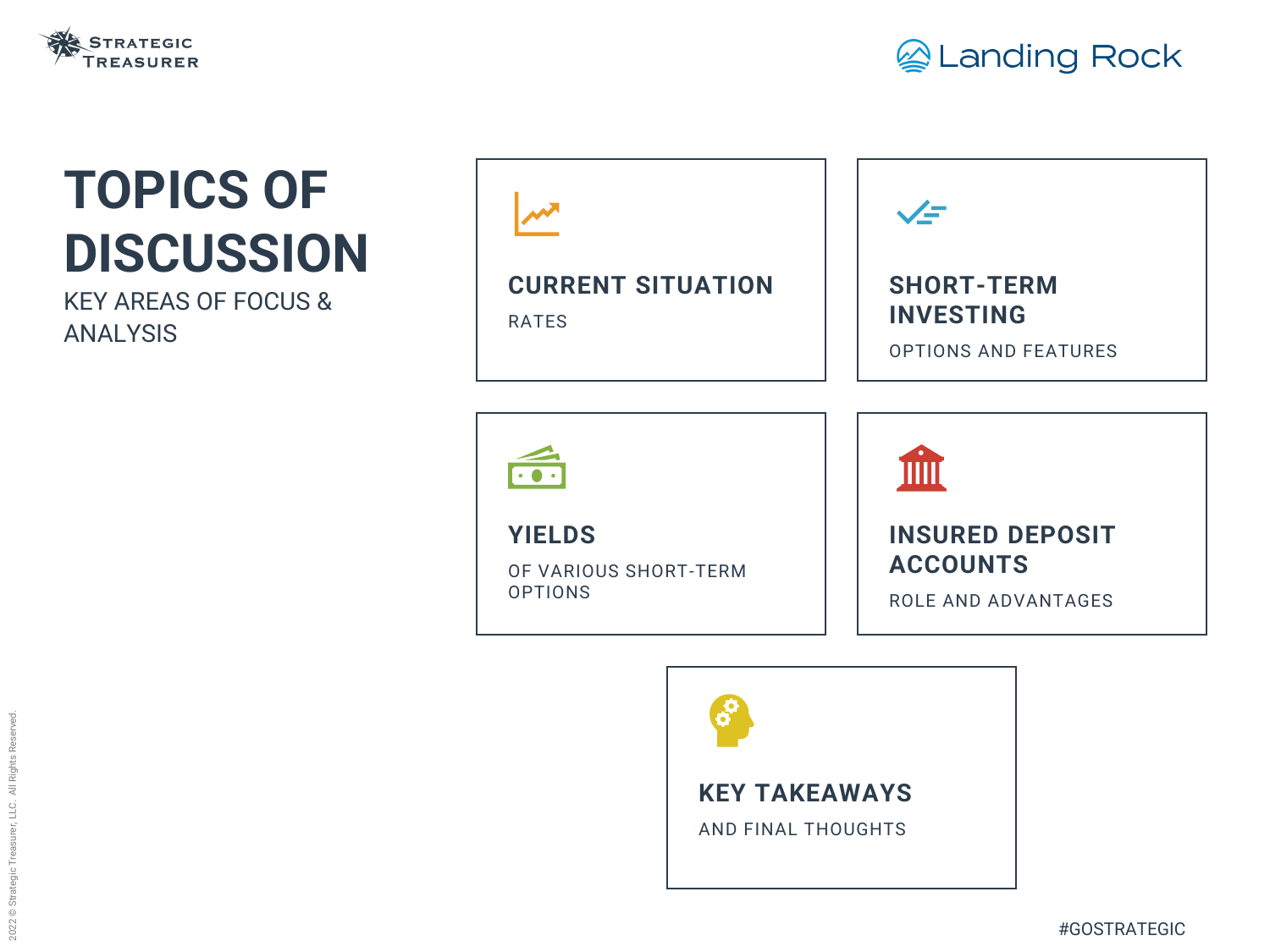## **CURRENT SITUATION**

RATES



**YIELDS**

OF VARIOUS SHORT-TERM OPTIONS





# **TOPICS OF DISCUSSION**

KEY AREAS OF FOCUS & ANALYSIS





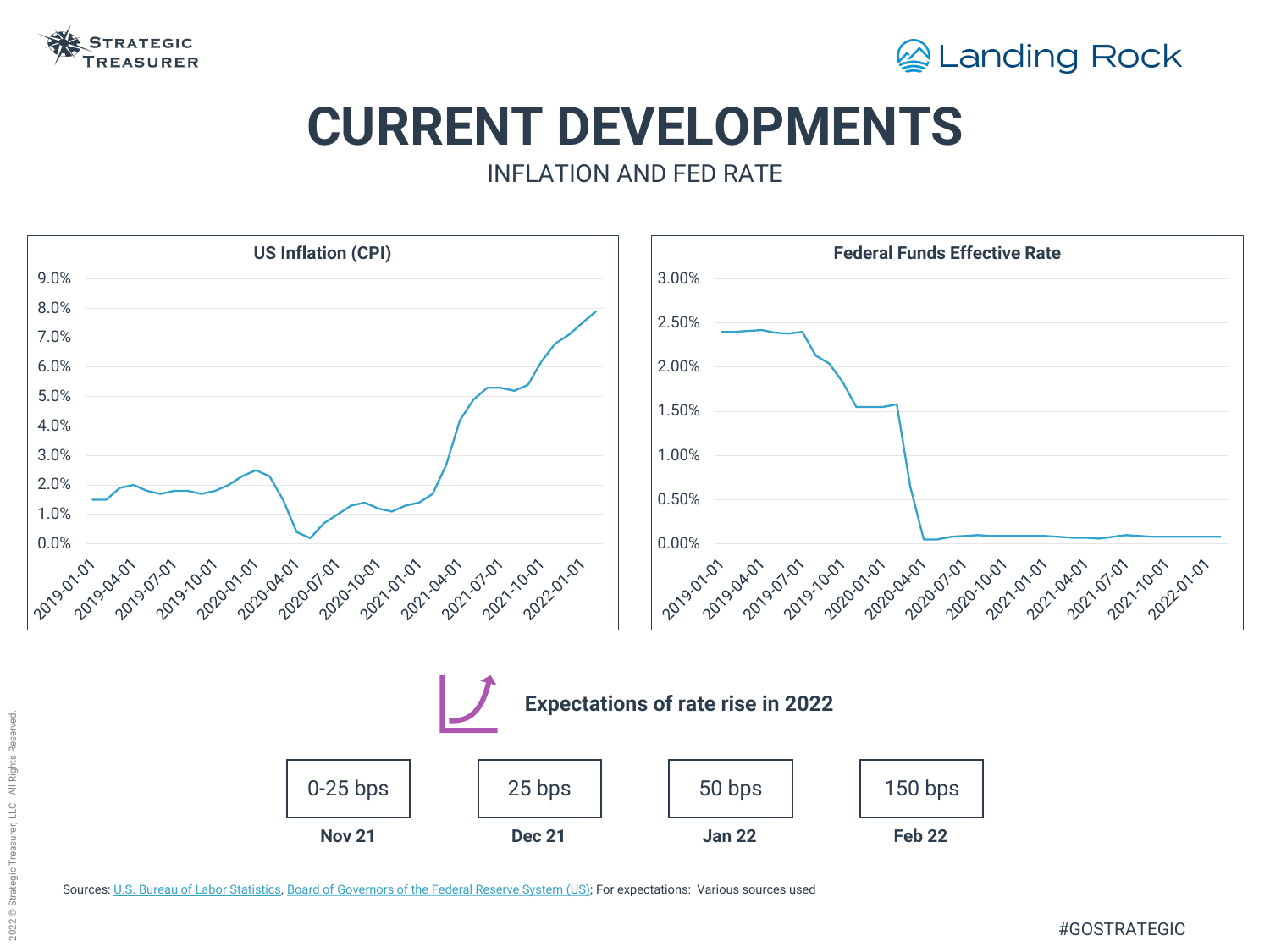

## **CURRENT DEVELOPMENTS** INFLATION AND FED RATE



Sources: [U.S. Bureau of Labor Statistics,](https://fred.stlouisfed.org/graph/?g=rocU) [Board of Governors of the Federal Reserve System \(US\)](https://fred.stlouisfed.org/series/FEDFUNDS); For expectations: Various sources used

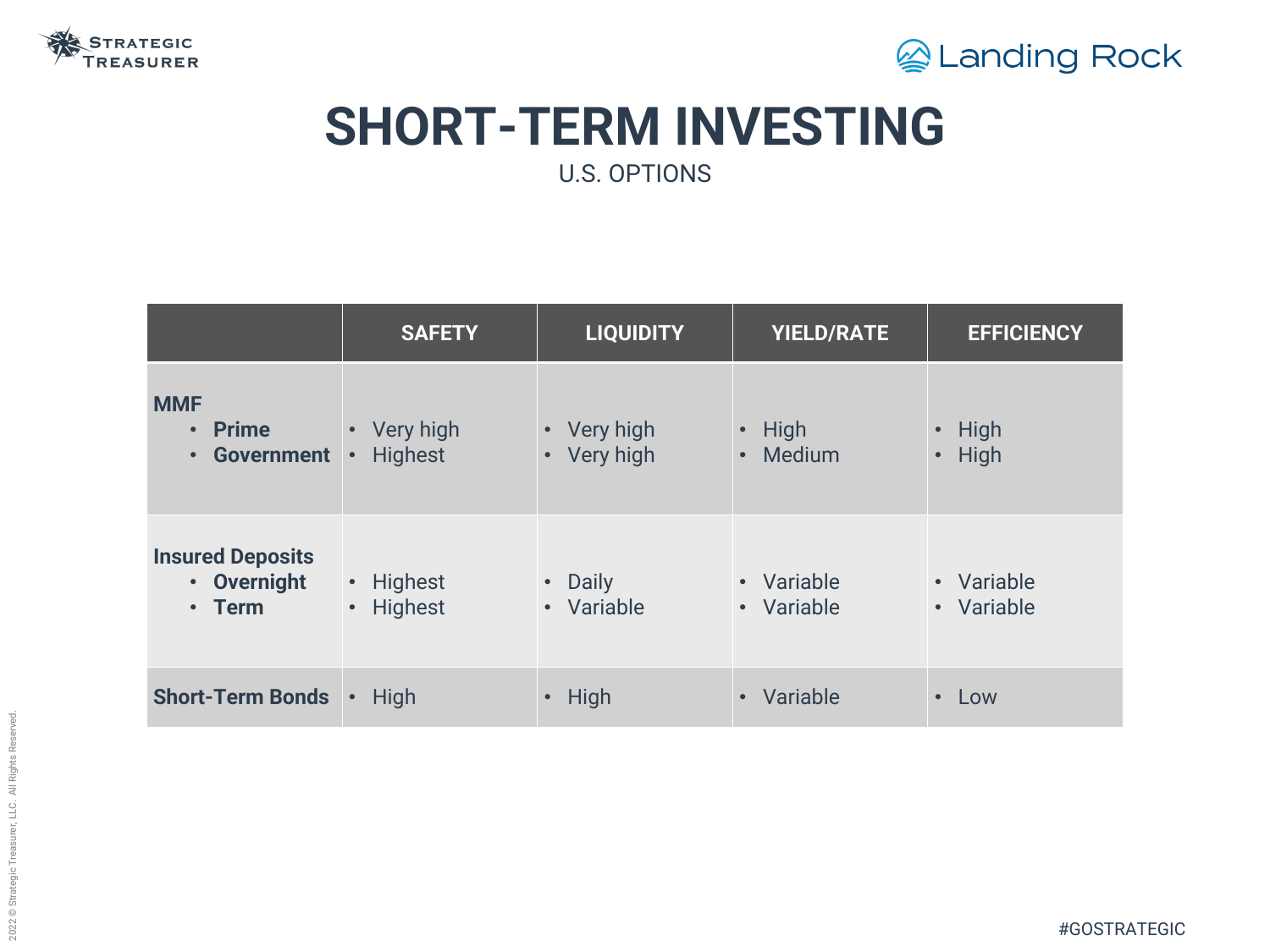



# **SHORT-TERM INVESTING** U.S. OPTIONS

|                                                    | <b>SAFETY</b>                                | <b>LIQUIDITY</b>                      | <b>YIELD/RATE</b>                        | <b>EFFICIENCY</b>                             |
|----------------------------------------------------|----------------------------------------------|---------------------------------------|------------------------------------------|-----------------------------------------------|
| <b>MMF</b><br>• Prime<br>Government<br>$\bullet$ . | • Very high<br><b>Highest</b><br>$\bullet$   | • Very high<br>Very high<br>$\bullet$ | High<br>$\bullet$<br>Medium<br>$\bullet$ | <b>High</b><br>$\bullet$<br>High<br>$\bullet$ |
| <b>Insured Deposits</b><br>• Overnight<br>• Term   | Highest<br>$\bullet$<br>Highest<br>$\bullet$ | • Daily<br>• Variable                 | • Variable<br>• Variable                 | • Variable<br>• Variable                      |
| <b>Short-Term Bonds</b>                            | High<br>$\bullet$                            | High<br>$\bullet$                     | Variable<br>$\bullet$                    | Low<br>$\bullet$                              |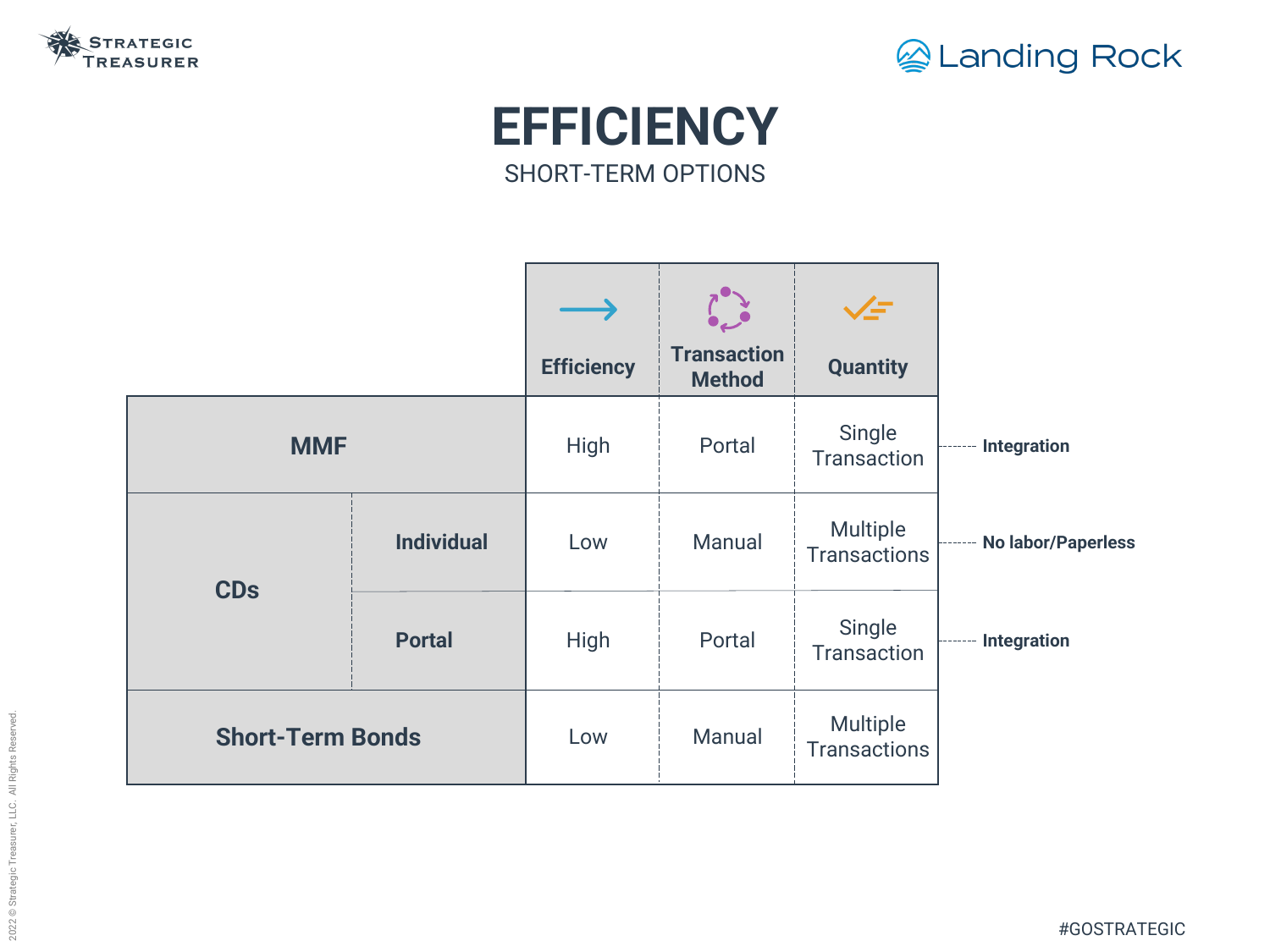



# **EFFICIENCY** SHORT-TERM OPTIONS

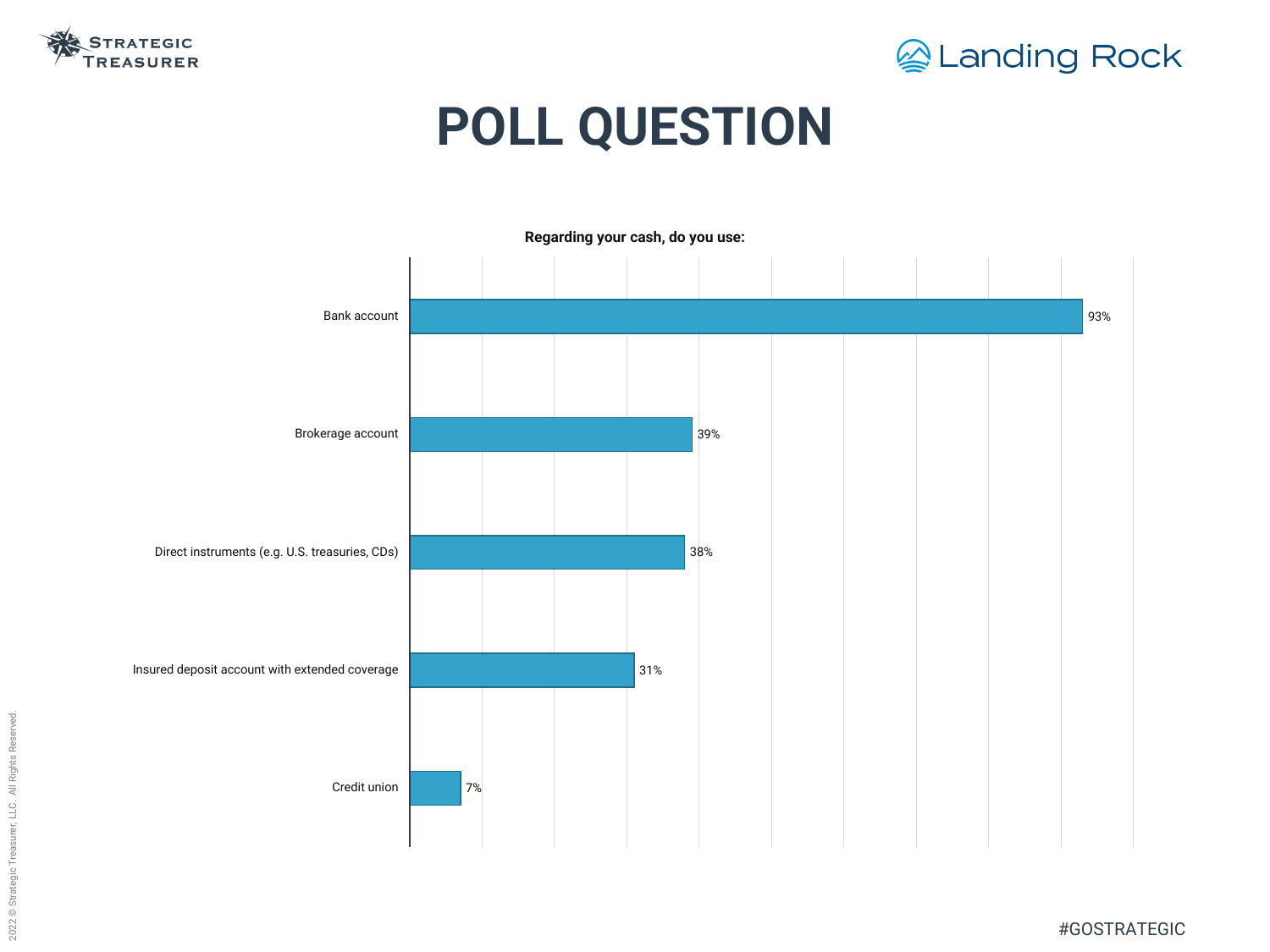



# **POLL QUESTION**

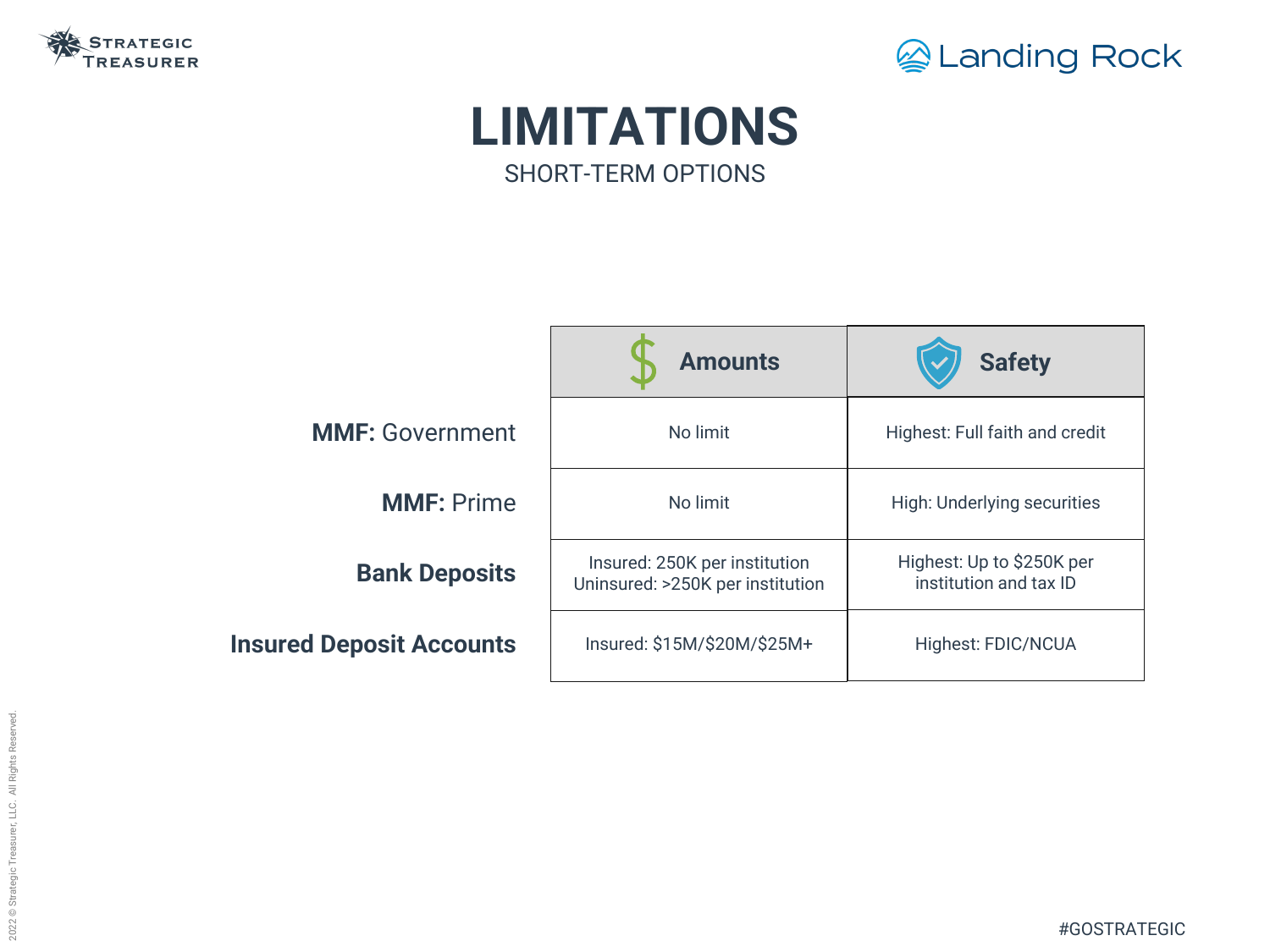



# **LIMITATIONS** SHORT-TERM OPTIONS



|            | <b>Safety</b>                                       |  |  |
|------------|-----------------------------------------------------|--|--|
|            | <b>Highest: Full faith and credit</b>               |  |  |
|            | <b>High: Underlying securities</b>                  |  |  |
| ጋበ<br>tion | Highest: Up to \$250K per<br>institution and tax ID |  |  |
| / ተ        | <b>Highest: FDIC/NCUA</b>                           |  |  |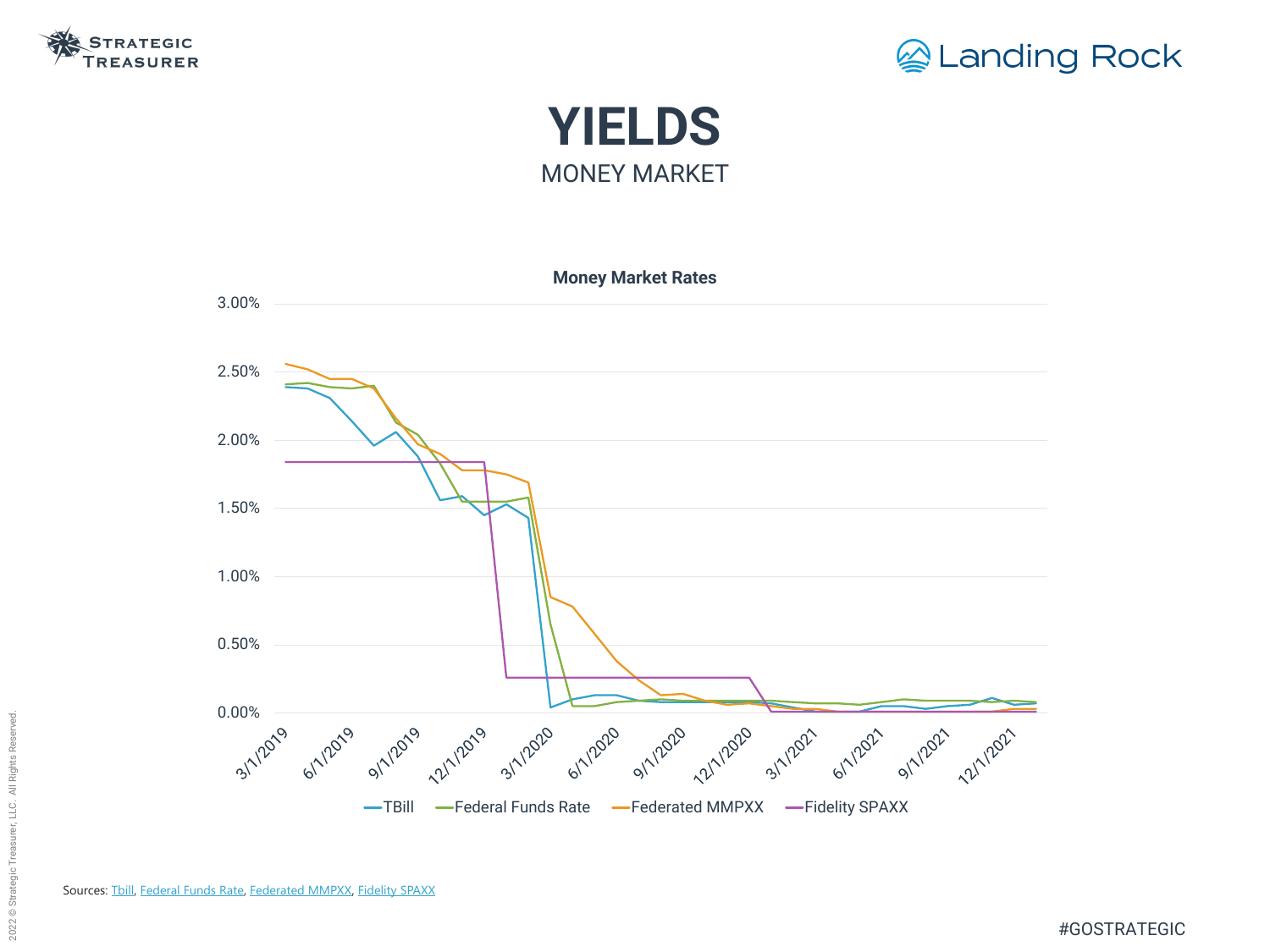







Sources: [Tbill](https://home.treasury.gov/resource-center/data-chart-center/interest-rates/TextView?type=daily_treasury_bill_rates&field_tdr_date_value=2021), [Federal Funds Rate](https://fred.stlouisfed.org/series/FEDFUNDS), [Federated MMPXX](https://www.federatedinvestors.com/products/mutual-funds/instl-money-market-management/is.do), [Fidelity SPAXX](https://fundresearch.fidelity.com/mutual-funds/performance-and-risk/31617H102)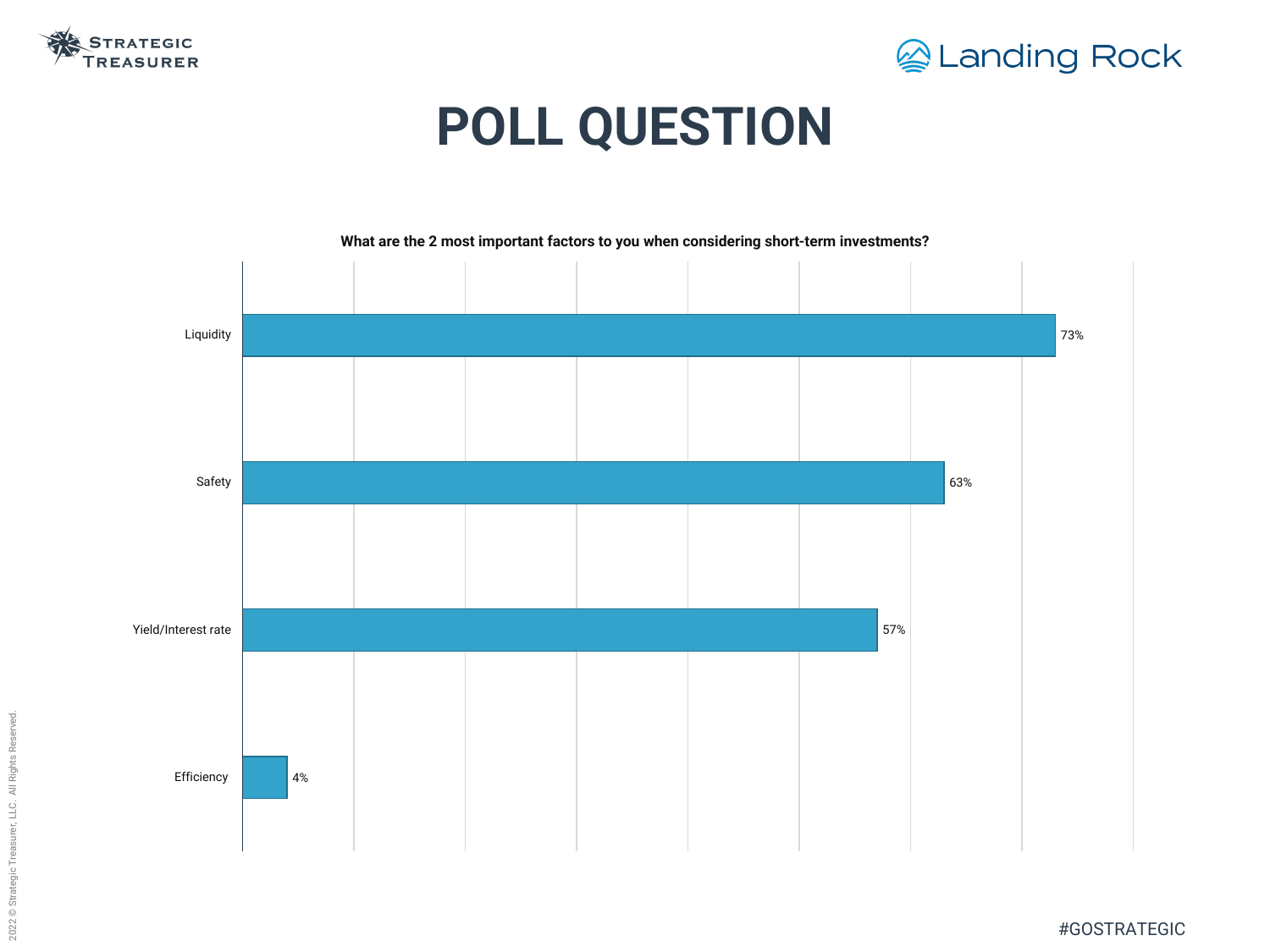



# **POLL QUESTION**



**What are the 2 most important factors to you when considering short-term investments?**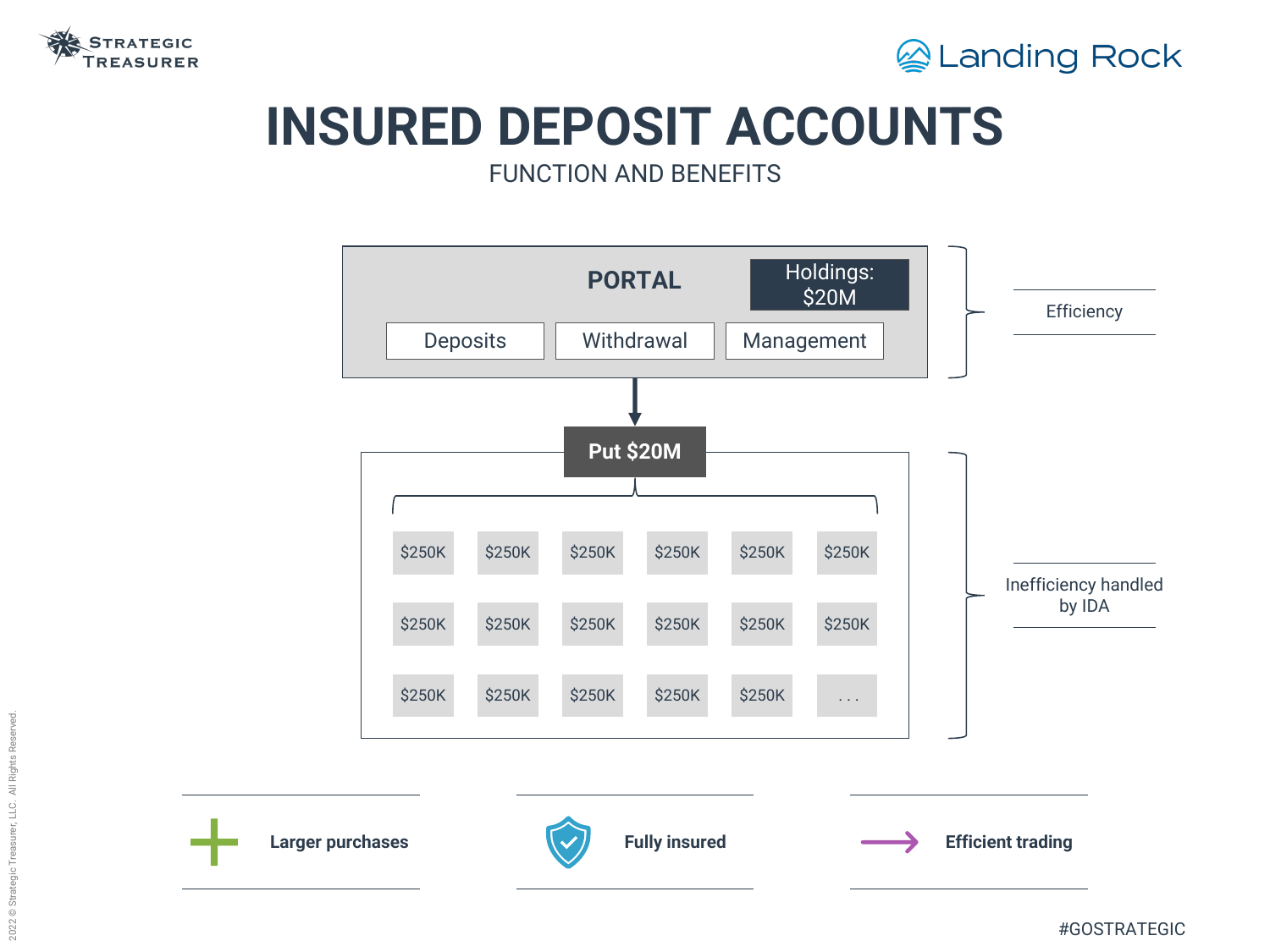

# **INSURED DEPOSIT ACCOUNTS** FUNCTION AND BENEFITS







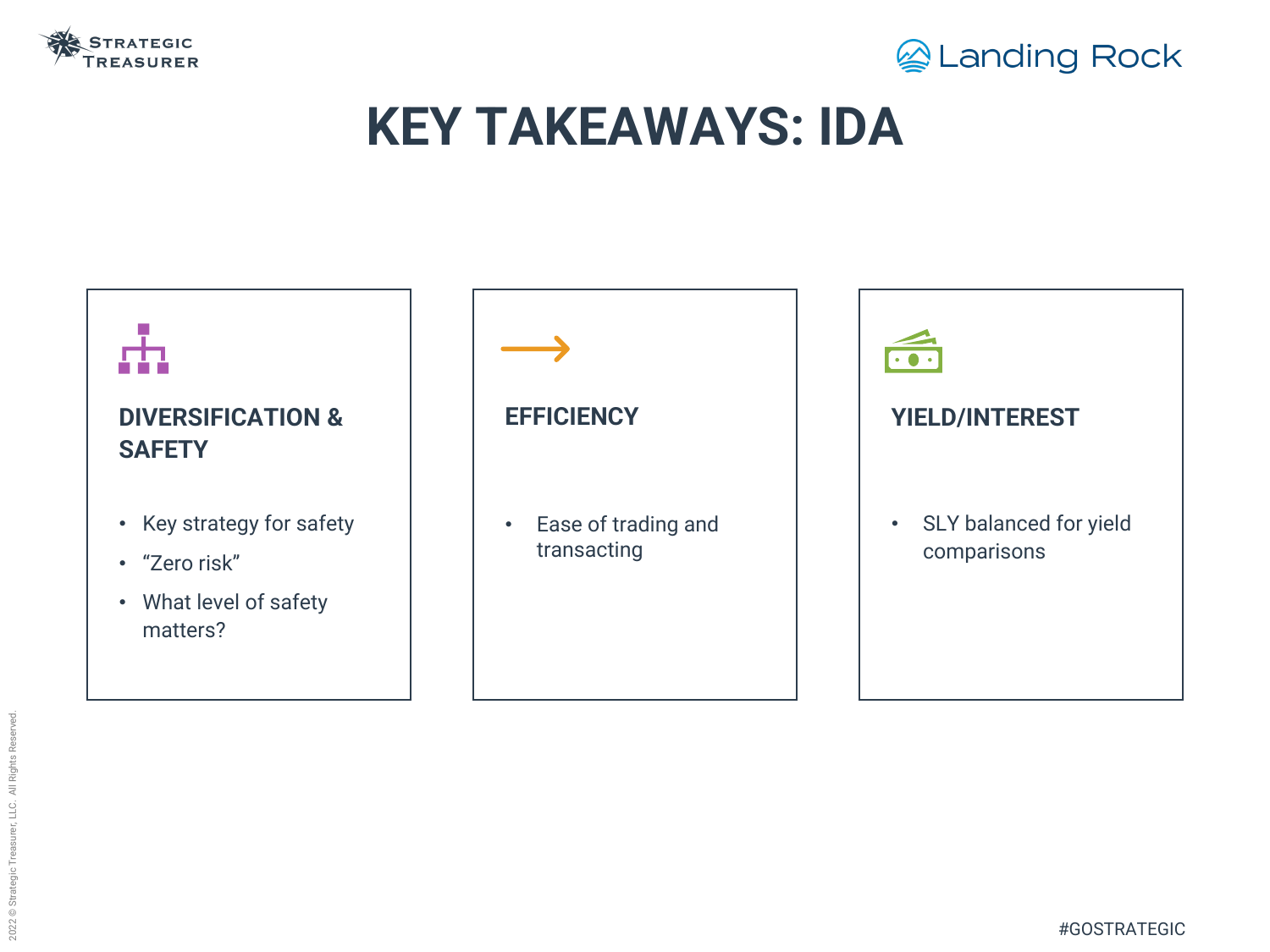

# **KEY TAKEAWAYS: IDA**

#### **DIVERSIFICATION & SAFETY**

- Key strategy for safety
- "Zero risk"
- What level of safety matters?